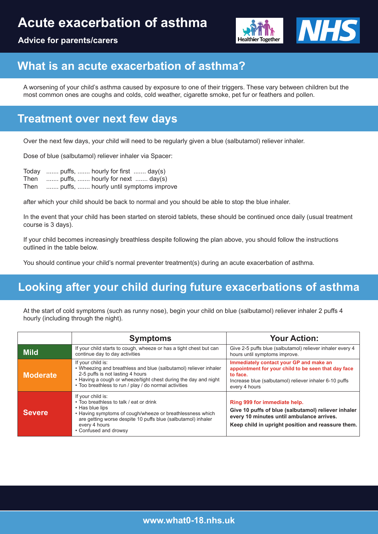# **Acute exacerbation of asthma**





## **What is an acute exacerbation of asthma?**

A worsening of your child's asthma caused by exposure to one of their triggers. These vary between children but the most common ones are coughs and colds, cold weather, cigarette smoke, pet fur or feathers and pollen.

## **Treatment over next few days**

Over the next few days, your child will need to be regularly given a blue (salbutamol) reliever inhaler.

Dose of blue (salbutamol) reliever inhaler via Spacer:

|      | Today  puffs,  hourly for first  day(s) |
|------|-----------------------------------------|
|      | Then  puffs,  hourly for next  day(s)   |
| Then | puffs,  hourly until symptoms improve   |

after which your child should be back to normal and you should be able to stop the blue inhaler.

In the event that your child has been started on steroid tablets, these should be continued once daily (usual treatment course is 3 days).

If your child becomes increasingly breathless despite following the plan above, you should follow the instructions outlined in the table below.

You should continue your child's normal preventer treatment(s) during an acute exacerbation of asthma.

## **Looking after your child during future exacerbations of asthma**

At the start of cold symptoms (such as runny nose), begin your child on blue (salbutamol) reliever inhaler 2 puffs 4 hourly (including through the night).

|                 | <b>Symptoms</b>                                                                                                                                                                                                                                        | <b>Your Action:</b>                                                                                                                                                                   |
|-----------------|--------------------------------------------------------------------------------------------------------------------------------------------------------------------------------------------------------------------------------------------------------|---------------------------------------------------------------------------------------------------------------------------------------------------------------------------------------|
| <b>Mild</b>     | If your child starts to cough, wheeze or has a tight chest but can<br>continue day to day activities                                                                                                                                                   | Give 2-5 puffs blue (salbutamol) reliever inhaler every 4<br>hours until symptoms improve.                                                                                            |
| <b>Moderate</b> | If your child is:<br>• Wheezing and breathless and blue (salbutamol) reliever inhaler<br>2-5 puffs is not lasting 4 hours<br>. Having a cough or wheeze/tight chest during the day and night<br>• Too breathless to run / play / do normal activities  | Immediately contact your GP and make an<br>appointment for your child to be seen that day face<br>to face.<br>Increase blue (salbutamol) reliever inhaler 6-10 puffs<br>every 4 hours |
| <b>Severe</b>   | If your child is:<br>• Too breathless to talk / eat or drink<br>• Has blue lips<br>• Having symptoms of cough/wheeze or breathlessness which<br>are getting worse despite 10 puffs blue (salbutamol) inhaler<br>every 4 hours<br>• Confused and drowsy | Ring 999 for immediate help.<br>Give 10 puffs of blue (salbutamol) reliever inhaler<br>every 10 minutes until ambulance arrives.<br>Keep child in upright position and reassure them. |